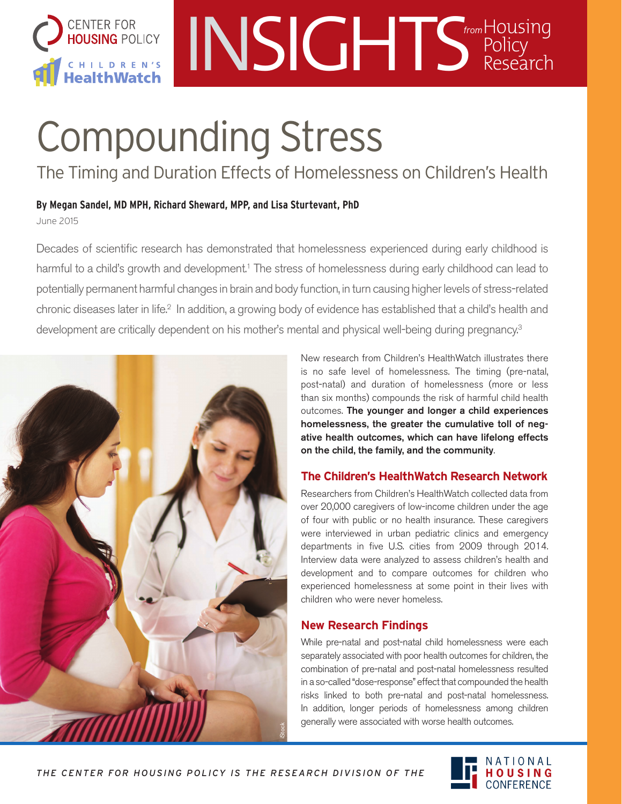

## INSIGHTS Holicy Policy Research *from*

# Compounding Stress

The Timing and Duration Effects of Homelessness on Children's Health

**By Megan Sandel, MD MPH, Richard Sheward, MPP, and Lisa Sturtevant, PhD** June 2015

Decades of scientific research has demonstrated that homelessness experienced during early childhood is harmful to a child's growth and development.<sup>1</sup> The stress of homelessness during early childhood can lead to potentially permanent harmful changes in brain and body function, in turn causing higher levels of stress-related chronic diseases later in life.<sup>2</sup> In addition, a growing body of evidence has established that a child's health and development are critically dependent on his mother's mental and physical well-being during pregnancy.<sup>3</sup>



New research from Children's HealthWatch illustrates there is no safe level of homelessness. The timing (pre-natal, post-natal) and duration of homelessness (more or less than six months) compounds the risk of harmful child health outcomes. The younger and longer a child experiences homelessness, the greater the cumulative toll of negative health outcomes, which can have lifelong effects on the child, the family, and the community.

#### **The Children's HealthWatch Research Network**

Researchers from Children's HealthWatch collected data from over 20,000 caregivers of low-income children under the age of four with public or no health insurance. These caregivers were interviewed in urban pediatric clinics and emergency departments in five U.S. cities from 2009 through 2014. Interview data were analyzed to assess children's health and development and to compare outcomes for children who experienced homelessness at some point in their lives with children who were never homeless.

#### **New Research Findings**

While pre-natal and post-natal child homelessness were each separately associated with poor health outcomes for children, the combination of pre-natal and post-natal homelessness resulted in a so-called "dose-response" effect that compounded the health risks linked to both pre-natal and post-natal homelessness. In addition, longer periods of homelessness among children generally were associated with worse health outcomes.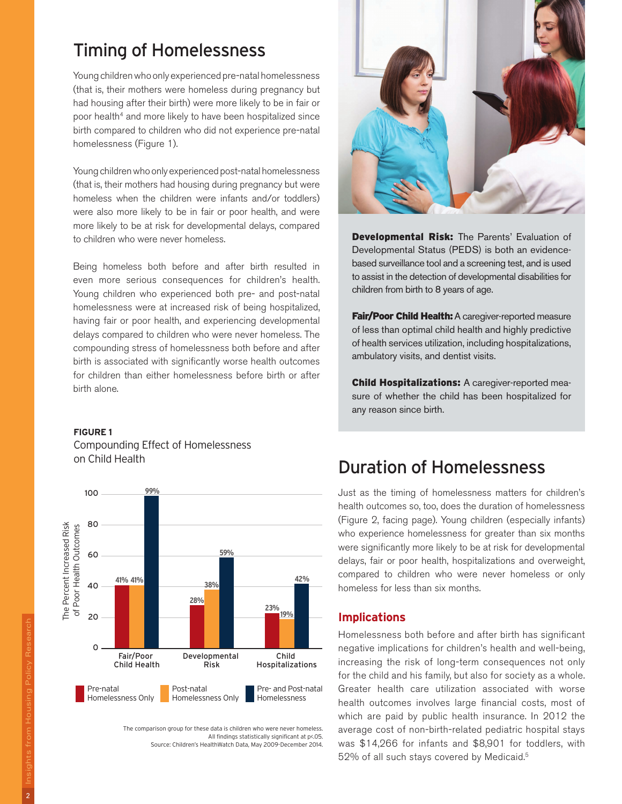## Timing of Homelessness

Young children who only experienced pre-natal homelessness (that is, their mothers were homeless during pregnancy but had housing after their birth) were more likely to be in fair or poor health<sup>4</sup> and more likely to have been hospitalized since birth compared to children who did not experience pre-natal homelessness (Figure 1).

Young children who only experienced post-natal homelessness (that is, their mothers had housing during pregnancy but were homeless when the children were infants and/or toddlers) were also more likely to be in fair or poor health, and were more likely to be at risk for developmental delays, compared to children who were never homeless.

Being homeless both before and after birth resulted in even more serious consequences for children's health. Young children who experienced both pre- and post-natal homelessness were at increased risk of being hospitalized, having fair or poor health, and experiencing developmental delays compared to children who were never homeless. The compounding stress of homelessness both before and after birth is associated with significantly worse health outcomes for children than either homelessness before birth or after birth alone.

#### **FIGURE 1**

Compounding Effect of Homelessness on Child Health



The comparison group for these data is children who were never homeless. All findings statistically significant at p<.05. Source: Children's HealthWatch Data, May 2009-December 2014.



Developmental Risk: The Parents' Evaluation of Developmental Status (PEDS) is both an evidencebased surveillance tool and a screening test, and is used to assist in the detection of developmental disabilities for children from birth to 8 years of age.

Fair/Poor Child Health: A caregiver-reported measure of less than optimal child health and highly predictive of health services utilization, including hospitalizations, ambulatory visits, and dentist visits.

Child Hospitalizations: A caregiver-reported measure of whether the child has been hospitalized for any reason since birth.

## Duration of Homelessness

Just as the timing of homelessness matters for children's health outcomes so, too, does the duration of homelessness (Figure 2, facing page). Young children (especially infants) who experience homelessness for greater than six months were significantly more likely to be at risk for developmental delays, fair or poor health, hospitalizations and overweight, compared to children who were never homeless or only homeless for less than six months.

#### **Implications**

Homelessness both before and after birth has significant negative implications for children's health and well-being, increasing the risk of long-term consequences not only for the child and his family, but also for society as a whole. Greater health care utilization associated with worse health outcomes involves large financial costs, most of which are paid by public health insurance. In 2012 the average cost of non-birth-related pediatric hospital stays was \$14,266 for infants and \$8,901 for toddlers, with 52% of all such stays covered by Medicaid.5

 $\overline{2}$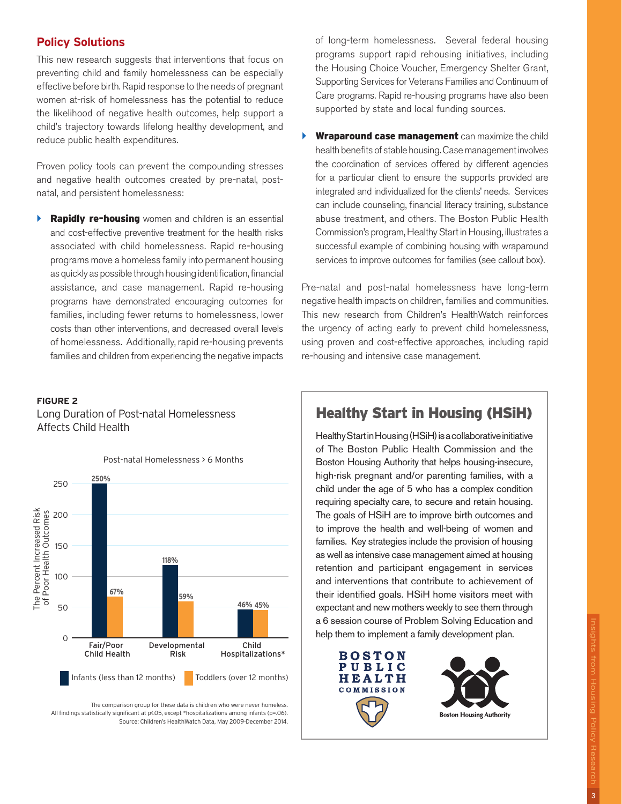#### **Policy Solutions**

This new research suggests that interventions that focus on preventing child and family homelessness can be especially effective before birth. Rapid response to the needs of pregnant women at-risk of homelessness has the potential to reduce the likelihood of negative health outcomes, help support a child's trajectory towards lifelong healthy development, and reduce public health expenditures.

Proven policy tools can prevent the compounding stresses and negative health outcomes created by pre-natal, postnatal, and persistent homelessness:

**Rapidly re-housing** women and children is an essential and cost-effective preventive treatment for the health risks associated with child homelessness. Rapid re-housing programs move a homeless family into permanent housing as quickly as possible through housing identification, financial assistance, and case management. Rapid re-housing programs have demonstrated encouraging outcomes for families, including fewer returns to homelessness, lower costs than other interventions, and decreased overall levels of homelessness. Additionally, rapid re-housing prevents families and children from experiencing the negative impacts

#### **FIGURE 2**

Long Duration of Post-natal Homelessness Affects Child Health



The comparison group for these data is children who were never homeless. All findings statistically significant at p<.05, except \*hospitalizations among infants (p=.06). Source: Children's HealthWatch Data, May 2009-December 2014. of long-term homelessness. Several federal housing programs support rapid rehousing initiatives, including the Housing Choice Voucher, Emergency Shelter Grant, Supporting Services for Veterans Families and Continuum of Care programs. Rapid re-housing programs have also been supported by state and local funding sources.

Wraparound case management can maximize the child health benefits of stable housing. Case management involves the coordination of services offered by different agencies for a particular client to ensure the supports provided are integrated and individualized for the clients' needs. Services can include counseling, financial literacy training, substance abuse treatment, and others. The Boston Public Health Commission's program, Healthy Start in Housing, illustrates a successful example of combining housing with wraparound services to improve outcomes for families (see callout box).

Pre-natal and post-natal homelessness have long-term negative health impacts on children, families and communities. This new research from Children's HealthWatch reinforces the urgency of acting early to prevent child homelessness, using proven and cost-effective approaches, including rapid re-housing and intensive case management.

#### Healthy Start in Housing (HSiH)

Healthy Start in Housing (HSiH) is a collaborative initiative of The Boston Public Health Commission and the Boston Housing Authority that helps housing-insecure, high-risk pregnant and/or parenting families, with a child under the age of 5 who has a complex condition requiring specialty care, to secure and retain housing. The goals of HSiH are to improve birth outcomes and to improve the health and well-being of women and families. Key strategies include the provision of housing as well as intensive case management aimed at housing retention and participant engagement in services and interventions that contribute to achievement of their identified goals. HSiH home visitors meet with expectant and new mothers weekly to see them through a 6 session course of Problem Solving Education and help them to implement a family development plan.